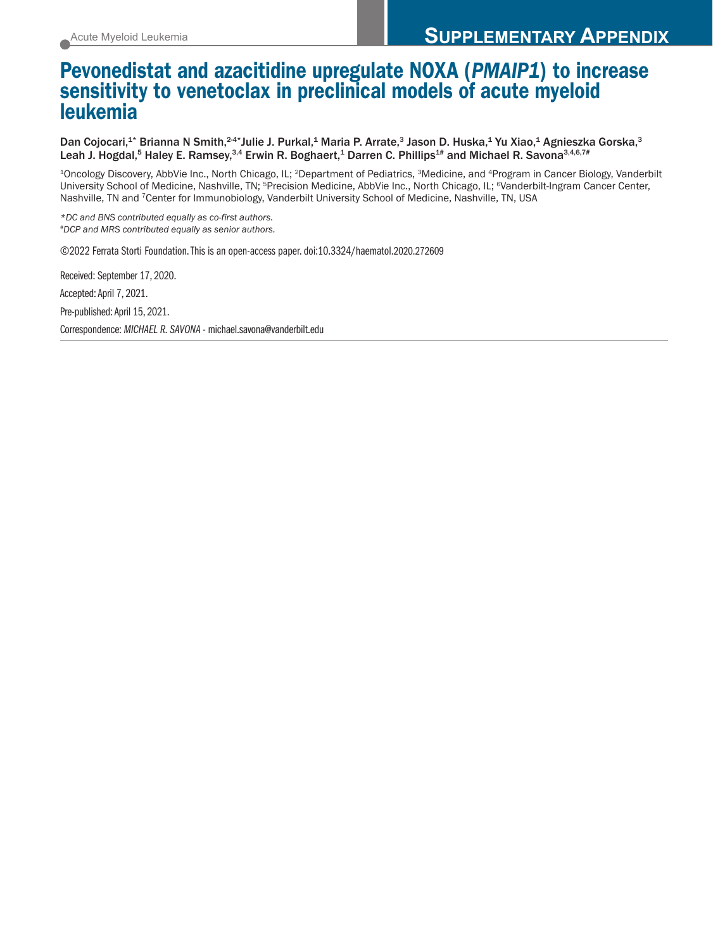### Pevonedistat and azacitidine upregulate NOXA (*PMAIP1*) to increase sensitivity to venetoclax in preclinical models of acute myeloid leukemia

Dan Cojocari,<sup>1\*</sup> Brianna N Smith,<sup>24\*</sup>Julie J. Purkal,<sup>1</sup> Maria P. Arrate,<sup>3</sup> Jason D. Huska,<sup>1</sup> Yu Xiao,<sup>1</sup> Agnieszka Gorska,<sup>3</sup> Leah J. Hogdal,<sup>5</sup> Haley E. Ramsey,<sup>3,4</sup> Erwin R. Boghaert,<sup>1</sup> Darren C. Phillips<sup>1#</sup> and Michael R. Savona<sup>3,4,6,7#</sup>

<sup>1</sup>Oncology Discovery, AbbVie Inc., North Chicago, IL; <sup>2</sup>Department of Pediatrics, <sup>3</sup>Medicine, and <sup>4</sup>Program in Cancer Biology, Vanderbilt University School of Medicine, Nashville, TN; 5Precision Medicine, AbbVie Inc., North Chicago, IL; 6Vanderbilt-Ingram Cancer Center, Nashville, TN and 7Center for Immunobiology, Vanderbilt University School of Medicine, Nashville, TN, USA

*\*DC and BNS contributed equally as co-first authors. #DCP and MRS contributed equally as senior authors.* 

©2022 Ferrata Storti Foundation. This is an open-access paper. doi:10.3324/haematol.2020.272609

Received: September 17, 2020. Accepted: April 7, 2021. Pre-published: April 15, 2021. Correspondence: *MICHAEL R. SAVONA* - michael.savona@vanderbilt.edu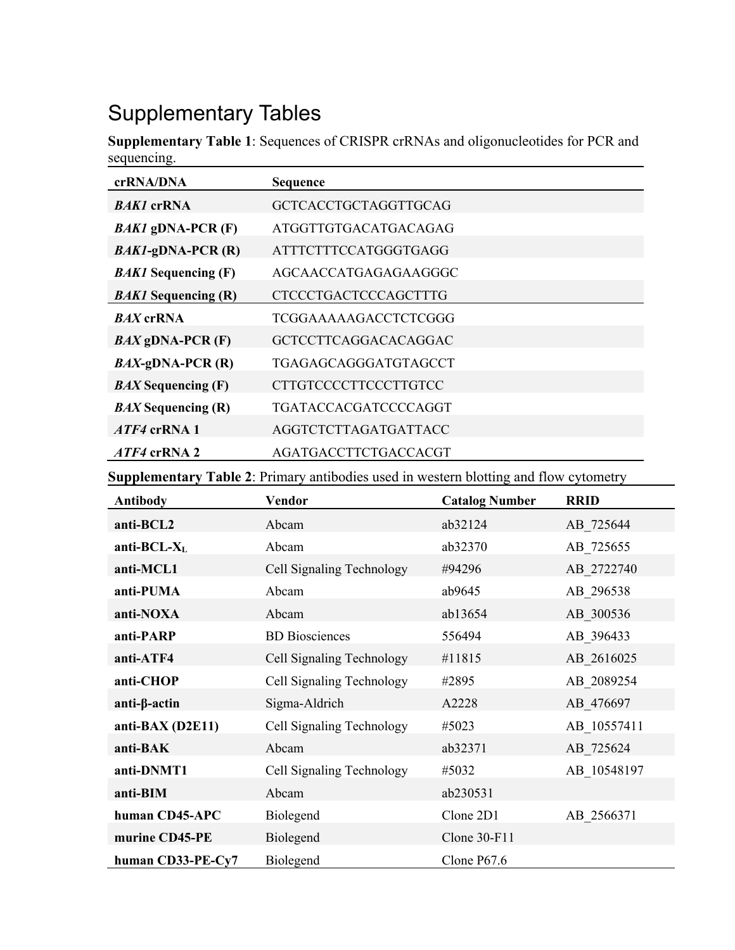# Supplementary Tables

**Supplementary Table 1**: Sequences of CRISPR crRNAs and oligonucleotides for PCR and sequencing.

| crRNA/DNA                  | <b>Sequence</b>             |
|----------------------------|-----------------------------|
| <b>BAK1</b> crRNA          | <b>GCTCACCTGCTAGGTTGCAG</b> |
| $BAK1$ gDNA-PCR (F)        | ATGGTTGTGACATGACAGAG        |
| $BAK1$ -gDNA-PCR $(R)$     | ATTTCTTTCCATGGGTGAGG        |
| <b>BAK1</b> Sequencing (F) | AGCAACCATGAGAGAAGGGC        |
| <b>BAK1</b> Sequencing (R) | <b>CTCCCTGACTCCCAGCTTTG</b> |
| <b>BAX</b> crRNA           | TCGGAAAAAGACCTCTCGGG        |
| $BAX$ gDNA-PCR $(F)$       | <b>GCTCCTTCAGGACACAGGAC</b> |
| $BAX-gDNA-PCR(R)$          | TGAGAGCAGGGATGTAGCCT        |
| <b>BAX</b> Sequencing (F)  | CTTGTCCCCTTCCCTTGTCC        |
| <b>BAX</b> Sequencing (R)  | TGATACCACGATCCCCAGGT        |
| $ATF4$ crRNA 1             | AGGTCTCTTAGATGATTACC        |
| <i>ATF4</i> crRNA 2        | AGATGACCTTCTGACCACGT        |

**Supplementary Table 2**: Primary antibodies used in western blotting and flow cytometry

| <b>Antibody</b>    | Vendor                    | <b>Catalog Number</b> | <b>RRID</b> |
|--------------------|---------------------------|-----------------------|-------------|
| anti-BCL2          | Abcam                     | ab32124               | AB 725644   |
| anti-BCL- $X_L$    | Abcam                     | ab32370               | AB 725655   |
| anti-MCL1          | Cell Signaling Technology | #94296                | AB 2722740  |
| anti-PUMA          | Abcam                     | ab9645                | AB 296538   |
| anti-NOXA          | Abcam                     | ab13654               | AB 300536   |
| anti-PARP          | <b>BD</b> Biosciences     | 556494                | AB 396433   |
| anti-ATF4          | Cell Signaling Technology | #11815                | AB 2616025  |
| anti-CHOP          | Cell Signaling Technology | #2895                 | AB 2089254  |
| $anti-\beta-actin$ | Sigma-Aldrich             | A2228                 | AB 476697   |
| anti-BAX (D2E11)   | Cell Signaling Technology | #5023                 | AB 10557411 |
| anti-BAK           | Abcam                     | ab32371               | AB 725624   |
| anti-DNMT1         | Cell Signaling Technology | #5032                 | AB 10548197 |
| anti-BIM           | Abcam                     | ab230531              |             |
| human CD45-APC     | Biolegend                 | Clone 2D1             | AB 2566371  |
| murine CD45-PE     | Biolegend                 | Clone $30$ -F11       |             |
| human CD33-PE-Cy7  | Biolegend                 | Clone $P67.6$         |             |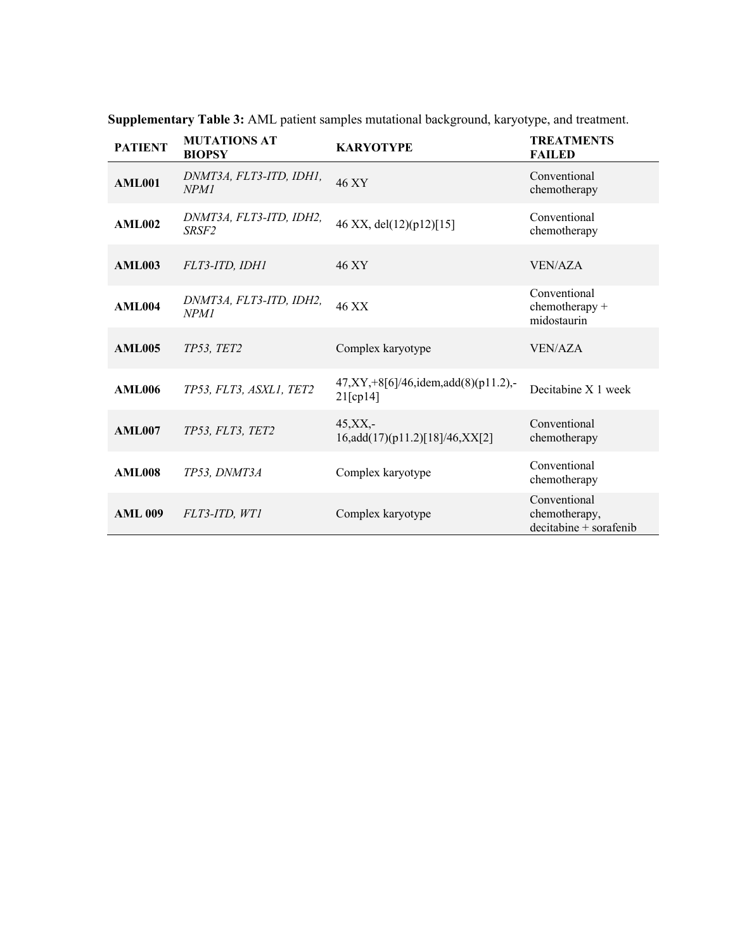| <b>PATIENT</b> | <b>MUTATIONS AT</b><br><b>BIOPSY</b>         | <b>KARYOTYPE</b>                                               | <b>TREATMENTS</b><br><b>FAILED</b>                       |
|----------------|----------------------------------------------|----------------------------------------------------------------|----------------------------------------------------------|
| <b>AML001</b>  | DNMT3A, FLT3-ITD, IDH1,<br>NPM1              | 46 XY                                                          | Conventional<br>chemotherapy                             |
| <b>AML002</b>  | DNMT3A, FLT3-ITD, IDH2,<br>SRSF <sub>2</sub> | 46 XX, del(12)(p12)[15]                                        | Conventional<br>chemotherapy                             |
| <b>AML003</b>  | FLT3-ITD, IDH1                               | 46 XY                                                          | <b>VEN/AZA</b>                                           |
| <b>AML004</b>  | DNMT3A, FLT3-ITD, IDH2,<br><b>NPM1</b>       | 46 XX                                                          | Conventional<br>chemotherapy +<br>midostaurin            |
| <b>AML005</b>  | TP53, TET2                                   | Complex karyotype                                              | <b>VEN/AZA</b>                                           |
| <b>AML006</b>  | TP53, FLT3, ASXL1, TET2                      | $47, XY, +8[6]/46$ , idem, add $(8)(p11.2)$ , -<br>$21$ [cp14] | Decitabine X 1 week                                      |
| <b>AML007</b>  | TP53, FLT3, TET2                             | $45, XX, -$<br>16,add(17)(p11.2)[18]/46,XX[2]                  | Conventional<br>chemotherapy                             |
| <b>AML008</b>  | TP53. DNMT3A                                 | Complex karyotype                                              | Conventional<br>chemotherapy                             |
| <b>AML 009</b> | FLT3-ITD, WT1                                | Complex karyotype                                              | Conventional<br>chemotherapy,<br>$decitable + sorafenib$ |

**Supplementary Table 3:** AML patient samples mutational background, karyotype, and treatment.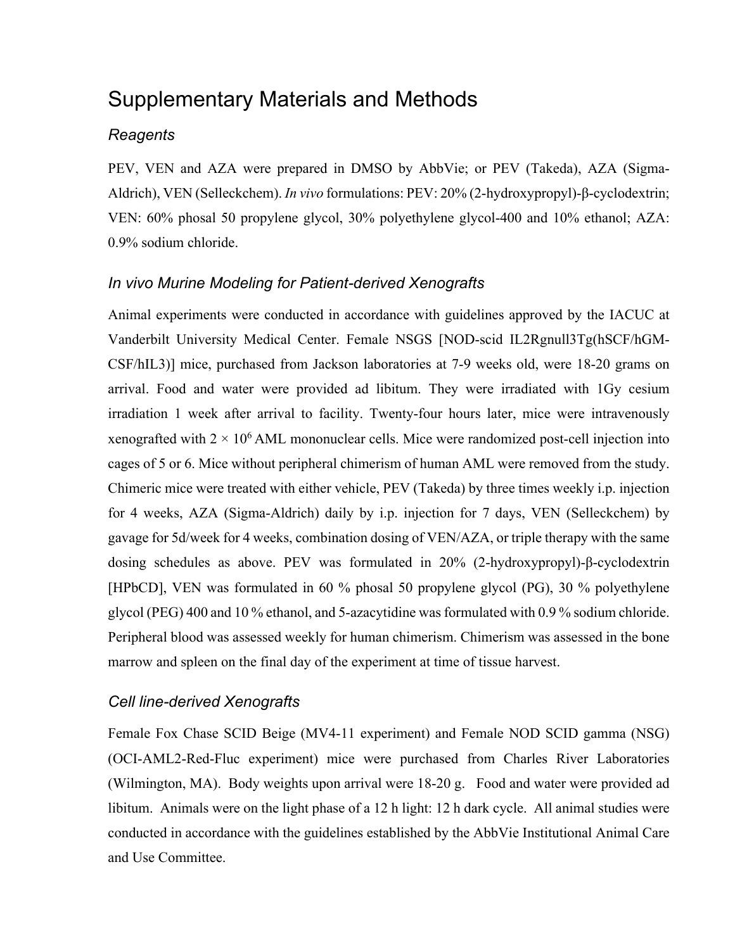## Supplementary Materials and Methods

#### *Reagents*

PEV, VEN and AZA were prepared in DMSO by AbbVie; or PEV (Takeda), AZA (Sigma-Aldrich), VEN (Selleckchem). *In vivo* formulations: PEV: 20% (2-hydroxypropyl)-β-cyclodextrin; VEN: 60% phosal 50 propylene glycol, 30% polyethylene glycol-400 and 10% ethanol; AZA: 0.9% sodium chloride.

#### *In vivo Murine Modeling for Patient-derived Xenografts*

Animal experiments were conducted in accordance with guidelines approved by the IACUC at Vanderbilt University Medical Center. Female NSGS [NOD-scid IL2Rgnull3Tg(hSCF/hGM-CSF/hIL3)] mice, purchased from Jackson laboratories at 7-9 weeks old, were 18-20 grams on arrival. Food and water were provided ad libitum. They were irradiated with 1Gy cesium irradiation 1 week after arrival to facility. Twenty-four hours later, mice were intravenously xenografted with  $2 \times 10^6$  AML mononuclear cells. Mice were randomized post-cell injection into cages of 5 or 6. Mice without peripheral chimerism of human AML were removed from the study. Chimeric mice were treated with either vehicle, PEV (Takeda) by three times weekly i.p. injection for 4 weeks, AZA (Sigma-Aldrich) daily by i.p. injection for 7 days, VEN (Selleckchem) by gavage for 5d/week for 4 weeks, combination dosing of VEN/AZA, or triple therapy with the same dosing schedules as above. PEV was formulated in 20% (2-hydroxypropyl)-β-cyclodextrin [HPbCD], VEN was formulated in 60 % phosal 50 propylene glycol (PG), 30 % polyethylene glycol (PEG) 400 and 10 % ethanol, and 5-azacytidine was formulated with 0.9 % sodium chloride. Peripheral blood was assessed weekly for human chimerism. Chimerism was assessed in the bone marrow and spleen on the final day of the experiment at time of tissue harvest.

#### *Cell line-derived Xenografts*

Female Fox Chase SCID Beige (MV4-11 experiment) and Female NOD SCID gamma (NSG) (OCI-AML2-Red-Fluc experiment) mice were purchased from Charles River Laboratories (Wilmington, MA). Body weights upon arrival were 18-20 g. Food and water were provided ad libitum. Animals were on the light phase of a 12 h light: 12 h dark cycle. All animal studies were conducted in accordance with the guidelines established by the AbbVie Institutional Animal Care and Use Committee.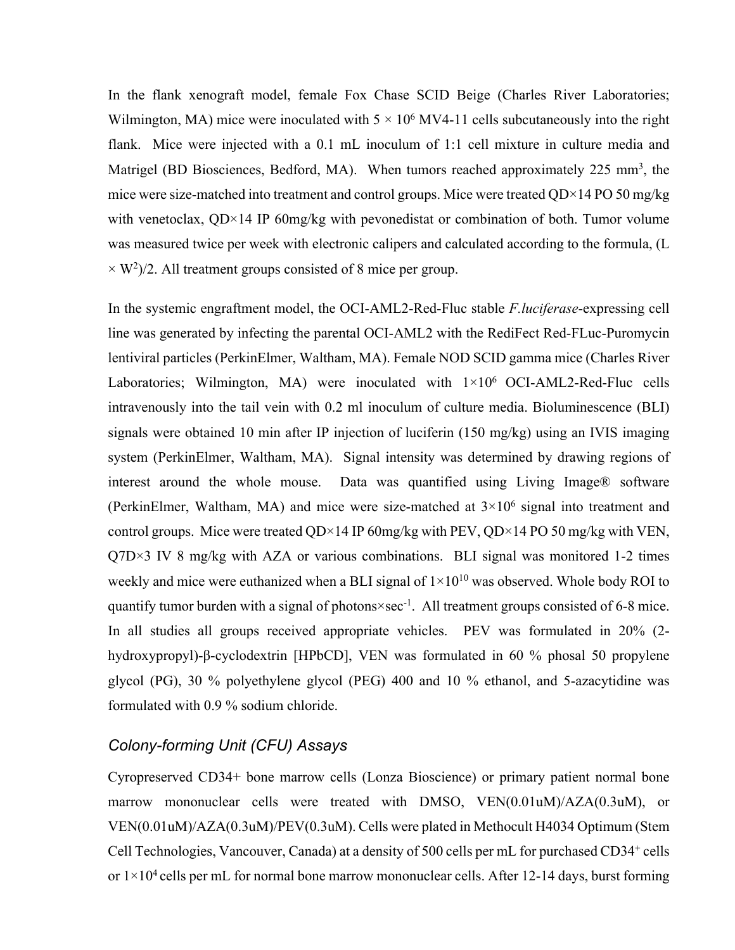In the flank xenograft model, female Fox Chase SCID Beige (Charles River Laboratories; Wilmington, MA) mice were inoculated with  $5 \times 10^6$  MV4-11 cells subcutaneously into the right flank. Mice were injected with a 0.1 mL inoculum of 1:1 cell mixture in culture media and Matrigel (BD Biosciences, Bedford, MA). When tumors reached approximately 225 mm<sup>3</sup>, the mice were size-matched into treatment and control groups. Mice were treated  $OD \times 14 PO 50$  mg/kg with venetoclax,  $QD \times 14$  IP 60mg/kg with pevonedistat or combination of both. Tumor volume was measured twice per week with electronic calipers and calculated according to the formula, (L  $\times$  W<sup>2</sup>)/2. All treatment groups consisted of 8 mice per group.

In the systemic engraftment model, the OCI-AML2-Red-Fluc stable *F.luciferase*-expressing cell line was generated by infecting the parental OCI-AML2 with the RediFect Red-FLuc-Puromycin lentiviral particles (PerkinElmer, Waltham, MA). Female NOD SCID gamma mice (Charles River Laboratories; Wilmington, MA) were inoculated with  $1\times10^6$  OCI-AML2-Red-Fluc cells intravenously into the tail vein with 0.2 ml inoculum of culture media. Bioluminescence (BLI) signals were obtained 10 min after IP injection of luciferin (150 mg/kg) using an IVIS imaging system (PerkinElmer, Waltham, MA). Signal intensity was determined by drawing regions of interest around the whole mouse. Data was quantified using Living Image® software (PerkinElmer, Waltham, MA) and mice were size-matched at  $3\times10^6$  signal into treatment and control groups. Mice were treated QD×14 IP  $60$ mg/kg with PEV, QD×14 PO 50 mg/kg with VEN,  $Q7D \times 3$  IV 8 mg/kg with AZA or various combinations. BLI signal was monitored 1-2 times weekly and mice were euthanized when a BLI signal of  $1\times10^{10}$  was observed. Whole body ROI to quantify tumor burden with a signal of photons×sec<sup>-1</sup>. All treatment groups consisted of 6-8 mice. In all studies all groups received appropriate vehicles. PEV was formulated in 20% (2 hydroxypropyl)-β-cyclodextrin [HPbCD], VEN was formulated in 60 % phosal 50 propylene glycol (PG), 30 % polyethylene glycol (PEG) 400 and 10 % ethanol, and 5-azacytidine was formulated with 0.9 % sodium chloride.

#### *Colony-forming Unit (CFU) Assays*

Cyropreserved CD34+ bone marrow cells (Lonza Bioscience) or primary patient normal bone marrow mononuclear cells were treated with DMSO, VEN(0.01uM)/AZA(0.3uM), or VEN(0.01uM)/AZA(0.3uM)/PEV(0.3uM). Cells were plated in Methocult H4034 Optimum (Stem Cell Technologies, Vancouver, Canada) at a density of 500 cells per mL for purchased CD34<sup>+</sup> cells or  $1 \times 10^4$  cells per mL for normal bone marrow mononuclear cells. After 12-14 days, burst forming